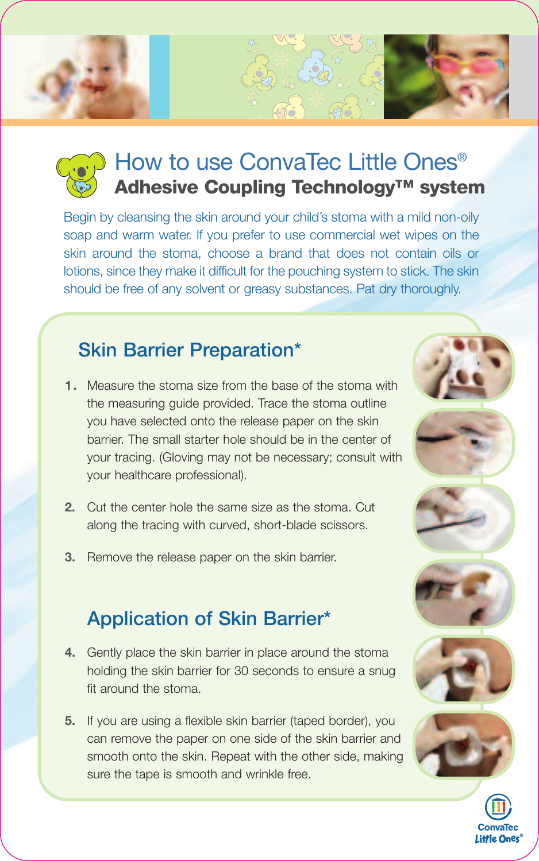# How to use ConvaTec Little Ones® **Adhesive Coupling Technology™ system**

Begin by cleansing the skin around your child's stoma with a mild non-oily soap and warm water. If you prefer to use commercial wet wipes on the skin around the stoma, choose a brand that does not contain oils or lotions, since they make it difficult for the pouching system to stick. The skin should be free of any solvent or greasy substances. Pat dry thoroughly.

#### **Skin Barrier Preparation\***

- **1.** Measure the stoma size from the base of the stoma with the measuring guide provided. Trace the stoma outline you have selected onto the release paper on the skin barrier. The small starter hole should be in the center of your tracing. (Gloving may not be necessary; consult with your healthcare professional).
- **2.** Cut the center hole the same size as the stoma. Cut along the tracing with curved, short-blade scissors.
- **3.** Remove the release paper on the skin barrier.

### **Application of Skin Barrier\***

- **4.** Gently place the skin barrier in place around the stoma holding the skin barrier for 30 seconds to ensure a snug fit around the stoma.
- **5.** If you are using a flexible skin barrier (taped border), you can remove the paper on one side of the skin barrier and smooth onto the skin. Repeat with the other side, making sure the tape is smooth and wrinkle free.